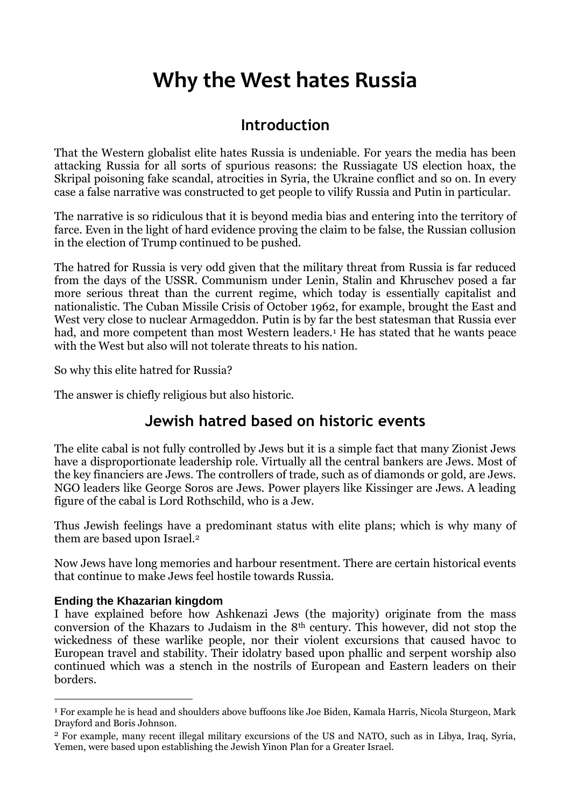# **Why the West hates Russia**

# **Introduction**

That the Western globalist elite hates Russia is undeniable. For years the media has been attacking Russia for all sorts of spurious reasons: the Russiagate US election hoax, the Skripal poisoning fake scandal, atrocities in Syria, the Ukraine conflict and so on. In every case a false narrative was constructed to get people to vilify Russia and Putin in particular.

The narrative is so ridiculous that it is beyond media bias and entering into the territory of farce. Even in the light of hard evidence proving the claim to be false, the Russian collusion in the election of Trump continued to be pushed.

The hatred for Russia is very odd given that the military threat from Russia is far reduced from the days of the USSR. Communism under Lenin, Stalin and Khruschev posed a far more serious threat than the current regime, which today is essentially capitalist and nationalistic. The Cuban Missile Crisis of October 1962, for example, brought the East and West very close to nuclear Armageddon. Putin is by far the best statesman that Russia ever had, and more competent than most Western leaders.<sup>1</sup> He has stated that he wants peace with the West but also will not tolerate threats to his nation.

So why this elite hatred for Russia?

The answer is chiefly religious but also historic.

## **Jewish hatred based on historic events**

The elite cabal is not fully controlled by Jews but it is a simple fact that many Zionist Jews have a disproportionate leadership role. Virtually all the central bankers are Jews. Most of the key financiers are Jews. The controllers of trade, such as of diamonds or gold, are Jews. NGO leaders like George Soros are Jews. Power players like Kissinger are Jews. A leading figure of the cabal is Lord Rothschild, who is a Jew.

Thus Jewish feelings have a predominant status with elite plans; which is why many of them are based upon Israel.<sup>2</sup>

Now Jews have long memories and harbour resentment. There are certain historical events that continue to make Jews feel hostile towards Russia.

#### **Ending the Khazarian kingdom**

<u>.</u>

I have explained before how Ashkenazi Jews (the majority) originate from the mass conversion of the Khazars to Judaism in the 8th century. This however, did not stop the wickedness of these warlike people, nor their violent excursions that caused havoc to European travel and stability. Their idolatry based upon phallic and serpent worship also continued which was a stench in the nostrils of European and Eastern leaders on their borders.

<sup>1</sup> For example he is head and shoulders above buffoons like Joe Biden, Kamala Harris, Nicola Sturgeon, Mark Drayford and Boris Johnson.

<sup>2</sup> For example, many recent illegal military excursions of the US and NATO, such as in Libya, Iraq, Syria, Yemen, were based upon establishing the Jewish Yinon Plan for a Greater Israel.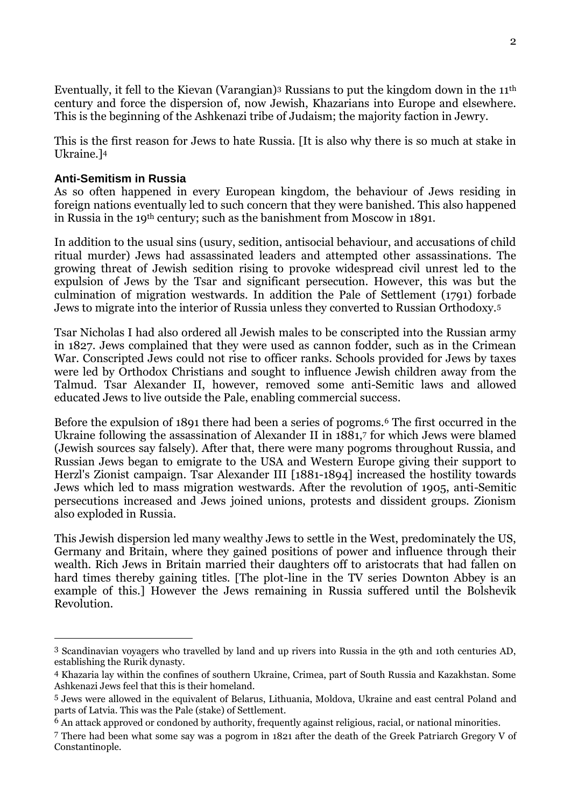Eventually, it fell to the Kievan (Varangian)<sup>3</sup> Russians to put the kingdom down in the 11th century and force the dispersion of, now Jewish, Khazarians into Europe and elsewhere. This is the beginning of the Ashkenazi tribe of Judaism; the majority faction in Jewry.

This is the first reason for Jews to hate Russia. [It is also why there is so much at stake in Ukraine.]<sup>4</sup>

#### **Anti-Semitism in Russia**

<u>.</u>

As so often happened in every European kingdom, the behaviour of Jews residing in foreign nations eventually led to such concern that they were banished. This also happened in Russia in the 19th century; such as the banishment from Moscow in 1891.

In addition to the usual sins (usury, sedition, antisocial behaviour, and accusations of child ritual murder) Jews had assassinated leaders and attempted other assassinations. The growing threat of Jewish sedition rising to provoke widespread civil unrest led to the expulsion of Jews by the Tsar and significant persecution. However, this was but the culmination of migration westwards. In addition the Pale of Settlement (1791) forbade Jews to migrate into the interior of Russia unless they converted to Russian Orthodoxy.<sup>5</sup>

Tsar Nicholas I had also ordered all Jewish males to be conscripted into the Russian army in 1827. Jews complained that they were used as cannon fodder, such as in the Crimean War. Conscripted Jews could not rise to officer ranks. Schools provided for Jews by taxes were led by Orthodox Christians and sought to influence Jewish children away from the Talmud. Tsar Alexander II, however, removed some anti-Semitic laws and allowed educated Jews to live outside the Pale, enabling commercial success.

Before the expulsion of 1891 there had been a series of pogroms.<sup>6</sup> The first occurred in the Ukraine following the assassination of Alexander II in 1881,<sup>7</sup> for which Jews were blamed (Jewish sources say falsely). After that, there were many pogroms throughout Russia, and Russian Jews began to emigrate to the USA and Western Europe giving their support to Herzl's Zionist campaign. Tsar Alexander III [1881-1894] increased the hostility towards Jews which led to mass migration westwards. After the revolution of 1905, anti-Semitic persecutions increased and Jews joined unions, protests and dissident groups. Zionism also exploded in Russia.

This Jewish dispersion led many wealthy Jews to settle in the West, predominately the US, Germany and Britain, where they gained positions of power and influence through their wealth. Rich Jews in Britain married their daughters off to aristocrats that had fallen on hard times thereby gaining titles. [The plot-line in the TV series Downton Abbey is an example of this.] However the Jews remaining in Russia suffered until the Bolshevik Revolution.

<sup>3</sup> Scandinavian voyagers who travelled by land and up rivers into Russia in the 9th and 10th centuries AD, establishing the Rurik dynasty.

<sup>4</sup> Khazaria lay within the confines of southern Ukraine, Crimea, part of South Russia and Kazakhstan. Some Ashkenazi Jews feel that this is their homeland.

<sup>5</sup> Jews were allowed in the equivalent of Belarus, Lithuania, Moldova, Ukraine and east central Poland and parts of Latvia. This was the Pale (stake) of Settlement.

<sup>6</sup> An attack approved or condoned by authority, frequently against religious, racial, or national minorities.

<sup>7</sup> There had been what some say was a pogrom in 1821 after the death of the Greek Patriarch Gregory V of Constantinople.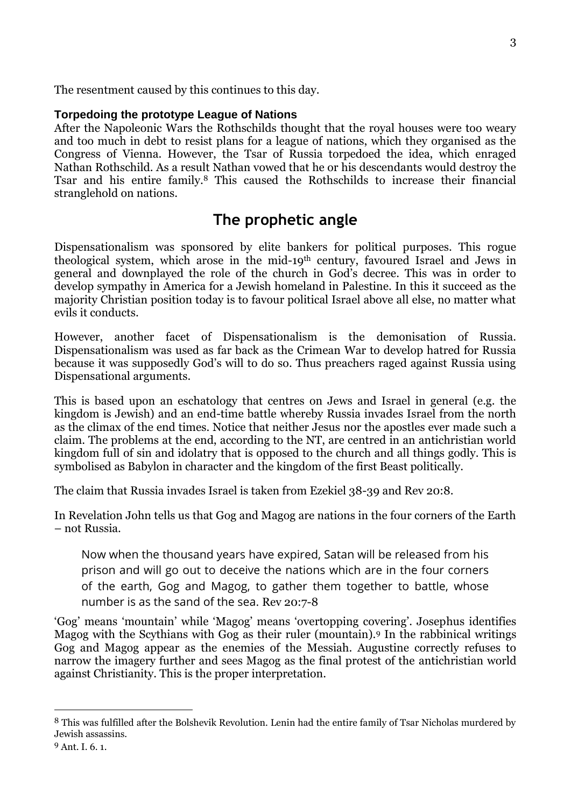The resentment caused by this continues to this day.

#### **Torpedoing the prototype League of Nations**

After the Napoleonic Wars the Rothschilds thought that the royal houses were too weary and too much in debt to resist plans for a league of nations, which they organised as the Congress of Vienna. However, the Tsar of Russia torpedoed the idea, which enraged Nathan Rothschild. As a result Nathan vowed that he or his descendants would destroy the Tsar and his entire family.<sup>8</sup> This caused the Rothschilds to increase their financial stranglehold on nations.

### **The prophetic angle**

Dispensationalism was sponsored by elite bankers for political purposes. This rogue theological system, which arose in the mid-19th century, favoured Israel and Jews in general and downplayed the role of the church in God's decree. This was in order to develop sympathy in America for a Jewish homeland in Palestine. In this it succeed as the majority Christian position today is to favour political Israel above all else, no matter what evils it conducts.

However, another facet of Dispensationalism is the demonisation of Russia. Dispensationalism was used as far back as the Crimean War to develop hatred for Russia because it was supposedly God's will to do so. Thus preachers raged against Russia using Dispensational arguments.

This is based upon an eschatology that centres on Jews and Israel in general (e.g. the kingdom is Jewish) and an end-time battle whereby Russia invades Israel from the north as the climax of the end times. Notice that neither Jesus nor the apostles ever made such a claim. The problems at the end, according to the NT, are centred in an antichristian world kingdom full of sin and idolatry that is opposed to the church and all things godly. This is symbolised as Babylon in character and the kingdom of the first Beast politically.

The claim that Russia invades Israel is taken from Ezekiel 38-39 and Rev 20:8.

In Revelation John tells us that Gog and Magog are nations in the four corners of the Earth – not Russia.

Now when the thousand years have expired, Satan will be released from his prison and will go out to deceive the nations which are in the four corners of the earth, Gog and Magog, to gather them together to battle, whose number is as the sand of the sea. Rev 20:7-8

'Gog' means 'mountain' while 'Magog' means 'overtopping covering'. Josephus identifies Magog with the Scythians with Gog as their ruler (mountain).<sup>9</sup> In the rabbinical writings Gog and Magog appear as the enemies of the Messiah. Augustine correctly refuses to narrow the imagery further and sees Magog as the final protest of the antichristian world against Christianity. This is the proper interpretation.

<u>.</u>

<sup>8</sup> This was fulfilled after the Bolshevik Revolution. Lenin had the entire family of Tsar Nicholas murdered by Jewish assassins.

<sup>9</sup> Ant. I. 6. 1.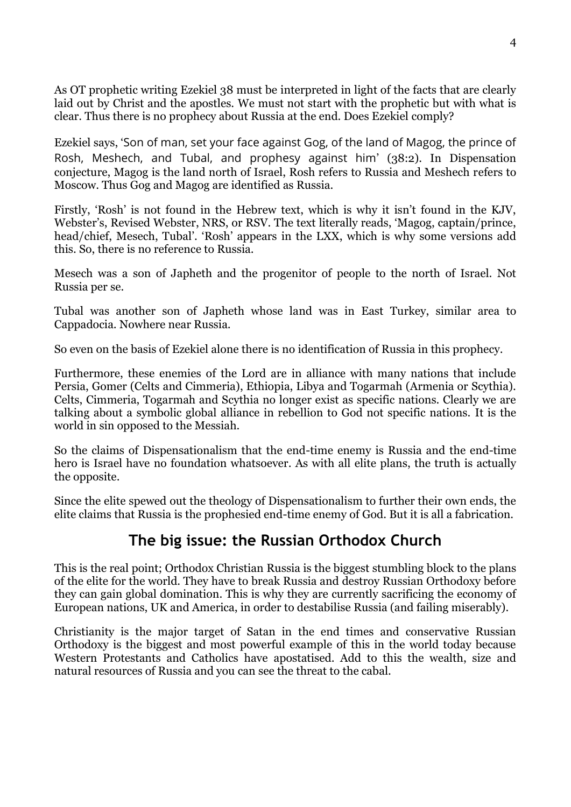As OT prophetic writing Ezekiel 38 must be interpreted in light of the facts that are clearly laid out by Christ and the apostles. We must not start with the prophetic but with what is clear. Thus there is no prophecy about Russia at the end. Does Ezekiel comply?

Ezekiel says, 'Son of man, set your face against Gog, of the land of Magog, the prince of Rosh, Meshech, and Tubal, and prophesy against him' (38:2). In Dispensation conjecture, Magog is the land north of Israel, Rosh refers to Russia and Meshech refers to Moscow. Thus Gog and Magog are identified as Russia.

Firstly, 'Rosh' is not found in the Hebrew text, which is why it isn't found in the KJV, Webster's, Revised Webster, NRS, or RSV. The text literally reads, 'Magog, captain/prince, head/chief, Mesech, Tubal'. 'Rosh' appears in the LXX, which is why some versions add this. So, there is no reference to Russia.

Mesech was a son of Japheth and the progenitor of people to the north of Israel. Not Russia per se.

Tubal was another son of Japheth whose land was in East Turkey, similar area to Cappadocia. Nowhere near Russia.

So even on the basis of Ezekiel alone there is no identification of Russia in this prophecy.

Furthermore, these enemies of the Lord are in alliance with many nations that include Persia, Gomer (Celts and Cimmeria), Ethiopia, Libya and Togarmah (Armenia or Scythia). Celts, Cimmeria, Togarmah and Scythia no longer exist as specific nations. Clearly we are talking about a symbolic global alliance in rebellion to God not specific nations. It is the world in sin opposed to the Messiah.

So the claims of Dispensationalism that the end-time enemy is Russia and the end-time hero is Israel have no foundation whatsoever. As with all elite plans, the truth is actually the opposite.

Since the elite spewed out the theology of Dispensationalism to further their own ends, the elite claims that Russia is the prophesied end-time enemy of God. But it is all a fabrication.

## **The big issue: the Russian Orthodox Church**

This is the real point; Orthodox Christian Russia is the biggest stumbling block to the plans of the elite for the world. They have to break Russia and destroy Russian Orthodoxy before they can gain global domination. This is why they are currently sacrificing the economy of European nations, UK and America, in order to destabilise Russia (and failing miserably).

Christianity is the major target of Satan in the end times and conservative Russian Orthodoxy is the biggest and most powerful example of this in the world today because Western Protestants and Catholics have apostatised. Add to this the wealth, size and natural resources of Russia and you can see the threat to the cabal.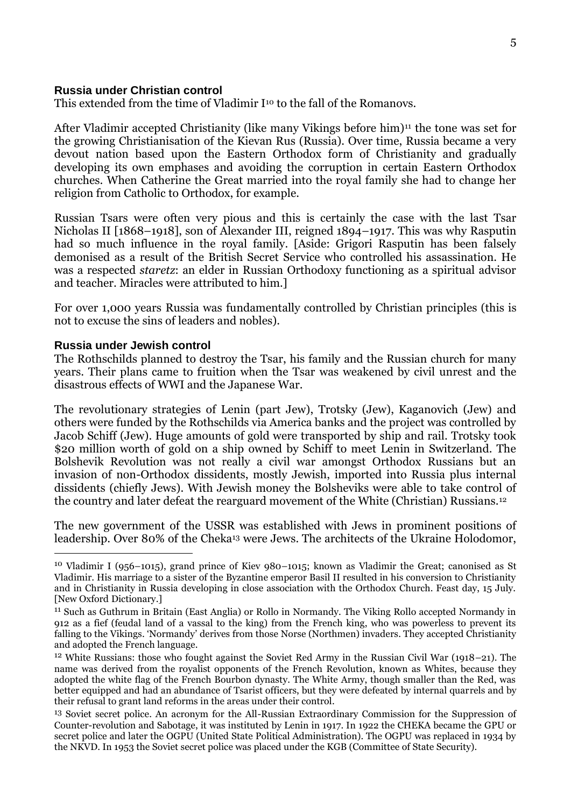#### **Russia under Christian control**

This extended from the time of Vladimir  $I^{10}$  to the fall of the Romanovs.

After Vladimir accepted Christianity (like many Vikings before him)<sup>11</sup> the tone was set for the growing Christianisation of the Kievan Rus (Russia). Over time, Russia became a very devout nation based upon the Eastern Orthodox form of Christianity and gradually developing its own emphases and avoiding the corruption in certain Eastern Orthodox churches. When Catherine the Great married into the royal family she had to change her religion from Catholic to Orthodox, for example.

Russian Tsars were often very pious and this is certainly the case with the last Tsar Nicholas II [1868–1918], son of Alexander III, reigned 1894–1917. This was why Rasputin had so much influence in the royal family. [Aside: Grigori Rasputin has been falsely demonised as a result of the British Secret Service who controlled his assassination. He was a respected *staretz*: an elder in Russian Orthodoxy functioning as a spiritual advisor and teacher. Miracles were attributed to him.]

For over 1,000 years Russia was fundamentally controlled by Christian principles (this is not to excuse the sins of leaders and nobles).

#### **Russia under Jewish control**

<u>.</u>

The Rothschilds planned to destroy the Tsar, his family and the Russian church for many years. Their plans came to fruition when the Tsar was weakened by civil unrest and the disastrous effects of WWI and the Japanese War.

The revolutionary strategies of Lenin (part Jew), Trotsky (Jew), Kaganovich (Jew) and others were funded by the Rothschilds via America banks and the project was controlled by Jacob Schiff (Jew). Huge amounts of gold were transported by ship and rail. Trotsky took \$20 million worth of gold on a ship owned by Schiff to meet Lenin in Switzerland. The Bolshevik Revolution was not really a civil war amongst Orthodox Russians but an invasion of non-Orthodox dissidents, mostly Jewish, imported into Russia plus internal dissidents (chiefly Jews). With Jewish money the Bolsheviks were able to take control of the country and later defeat the rearguard movement of the White (Christian) Russians.<sup>12</sup>

The new government of the USSR was established with Jews in prominent positions of leadership. Over 80% of the Cheka<sup>13</sup> were Jews. The architects of the Ukraine Holodomor,

<sup>10</sup> Vladimir I (956–1015), grand prince of Kiev 980–1015; known as Vladimir the Great; canonised as St Vladimir. His marriage to a sister of the Byzantine emperor Basil II resulted in his conversion to Christianity and in Christianity in Russia developing in close association with the Orthodox Church. Feast day, 15 July. [New Oxford Dictionary.]

<sup>11</sup> Such as Guthrum in Britain (East Anglia) or Rollo in Normandy. The Viking Rollo accepted Normandy in 912 as a fief (feudal land of a vassal to the king) from the French king, who was powerless to prevent its falling to the Vikings. 'Normandy' derives from those Norse (Northmen) invaders. They accepted Christianity and adopted the French language.

<sup>12</sup> White Russians: those who fought against the Soviet Red Army in the Russian Civil War (1918–21). The name was derived from the royalist opponents of the French Revolution, known as Whites, because they adopted the white flag of the French Bourbon dynasty. The White Army, though smaller than the Red, was better equipped and had an abundance of Tsarist officers, but they were defeated by internal quarrels and by their refusal to grant land reforms in the areas under their control.

<sup>13</sup> Soviet secret police. An acronym for the All-Russian Extraordinary Commission for the Suppression of Counter-revolution and Sabotage, it was instituted by Lenin in 1917. In 1922 the CHEKA became the GPU or secret police and later the OGPU (United State Political Administration). The OGPU was replaced in 1934 by the NKVD. In 1953 the Soviet secret police was placed under the KGB (Committee of State Security).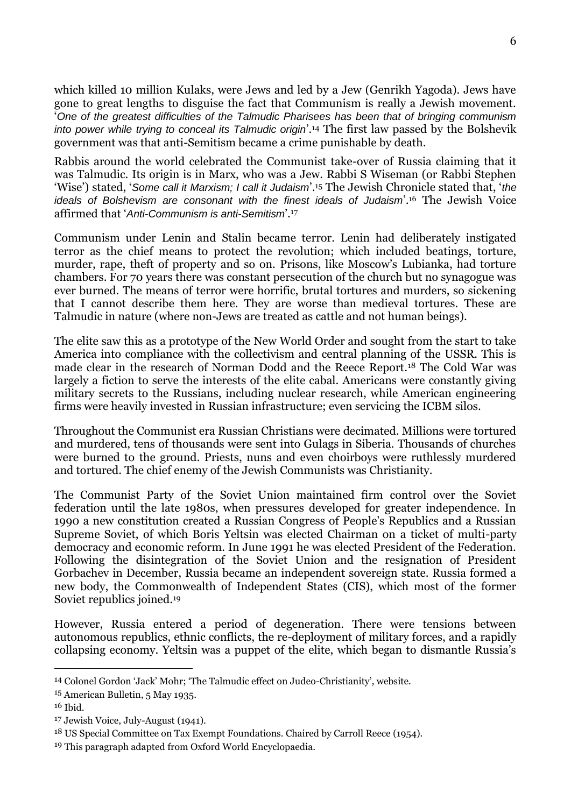which killed 10 million Kulaks, were Jews and led by a Jew (Genrikh Yagoda). Jews have gone to great lengths to disguise the fact that Communism is really a Jewish movement. '*One of the greatest difficulties of the Talmudic Pharisees has been that of bringing communism into power while trying to conceal its Talmudic origin*'.<sup>14</sup> The first law passed by the Bolshevik government was that anti-Semitism became a crime punishable by death.

Rabbis around the world celebrated the Communist take-over of Russia claiming that it was Talmudic. Its origin is in Marx, who was a Jew. Rabbi S Wiseman (or Rabbi Stephen 'Wise') stated, '*Some call it Marxism; I call it Judaism*'.<sup>15</sup> The Jewish Chronicle stated that, '*the ideals of Bolshevism are consonant with the finest ideals of Judaism*'.<sup>16</sup> The Jewish Voice affirmed that '*Anti-Communism is anti-Semitism*'.<sup>17</sup>

Communism under Lenin and Stalin became terror. Lenin had deliberately instigated terror as the chief means to protect the revolution; which included beatings, torture, murder, rape, theft of property and so on. Prisons, like Moscow's Lubianka, had torture chambers. For 70 years there was constant persecution of the church but no synagogue was ever burned. The means of terror were horrific, brutal tortures and murders, so sickening that I cannot describe them here. They are worse than medieval tortures. These are Talmudic in nature (where non-Jews are treated as cattle and not human beings).

The elite saw this as a prototype of the New World Order and sought from the start to take America into compliance with the collectivism and central planning of the USSR. This is made clear in the research of Norman Dodd and the Reece Report.<sup>18</sup> The Cold War was largely a fiction to serve the interests of the elite cabal. Americans were constantly giving military secrets to the Russians, including nuclear research, while American engineering firms were heavily invested in Russian infrastructure; even servicing the ICBM silos.

Throughout the Communist era Russian Christians were decimated. Millions were tortured and murdered, tens of thousands were sent into Gulags in Siberia. Thousands of churches were burned to the ground. Priests, nuns and even choirboys were ruthlessly murdered and tortured. The chief enemy of the Jewish Communists was Christianity.

The Communist Party of the Soviet Union maintained firm control over the Soviet federation until the late 1980s, when pressures developed for greater independence. In 1990 a new constitution created a Russian Congress of People's Republics and a Russian Supreme Soviet, of which Boris Yeltsin was elected Chairman on a ticket of multi-party democracy and economic reform. In June 1991 he was elected President of the Federation. Following the disintegration of the Soviet Union and the resignation of President Gorbachev in December, Russia became an independent sovereign state. Russia formed a new body, the Commonwealth of Independent States (CIS), which most of the former Soviet republics joined.<sup>19</sup>

However, Russia entered a period of degeneration. There were tensions between autonomous republics, ethnic conflicts, the re-deployment of military forces, and a rapidly collapsing economy. Yeltsin was a puppet of the elite, which began to dismantle Russia's

<u>.</u>

<sup>14</sup> Colonel Gordon 'Jack' Mohr; 'The Talmudic effect on Judeo-Christianity', website.

<sup>15</sup> American Bulletin, 5 May 1935.

<sup>16</sup> Ibid.

<sup>17</sup> Jewish Voice, July-August (1941).

<sup>18</sup> US Special Committee on Tax Exempt Foundations. Chaired by Carroll Reece (1954).

<sup>19</sup> This paragraph adapted from Oxford World Encyclopaedia.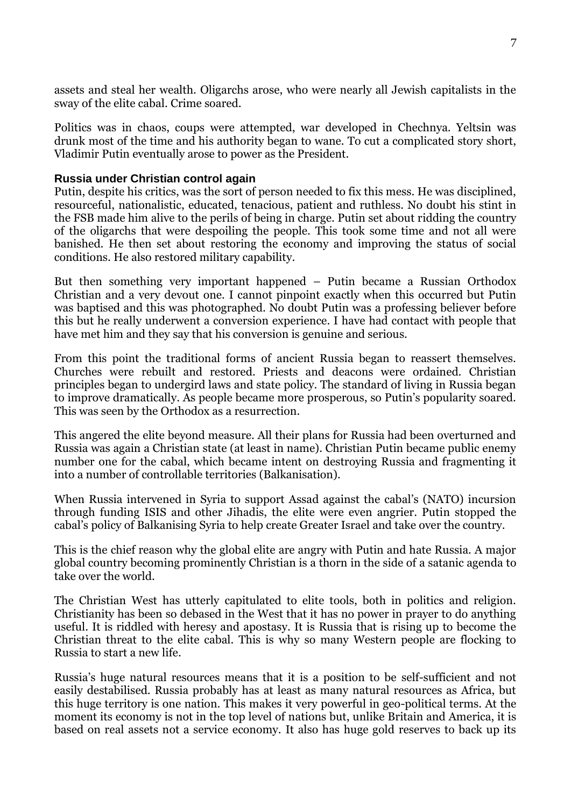assets and steal her wealth. Oligarchs arose, who were nearly all Jewish capitalists in the sway of the elite cabal. Crime soared.

Politics was in chaos, coups were attempted, war developed in Chechnya. Yeltsin was drunk most of the time and his authority began to wane. To cut a complicated story short, Vladimir Putin eventually arose to power as the President.

#### **Russia under Christian control again**

Putin, despite his critics, was the sort of person needed to fix this mess. He was disciplined, resourceful, nationalistic, educated, tenacious, patient and ruthless. No doubt his stint in the FSB made him alive to the perils of being in charge. Putin set about ridding the country of the oligarchs that were despoiling the people. This took some time and not all were banished. He then set about restoring the economy and improving the status of social conditions. He also restored military capability.

But then something very important happened – Putin became a Russian Orthodox Christian and a very devout one. I cannot pinpoint exactly when this occurred but Putin was baptised and this was photographed. No doubt Putin was a professing believer before this but he really underwent a conversion experience. I have had contact with people that have met him and they say that his conversion is genuine and serious.

From this point the traditional forms of ancient Russia began to reassert themselves. Churches were rebuilt and restored. Priests and deacons were ordained. Christian principles began to undergird laws and state policy. The standard of living in Russia began to improve dramatically. As people became more prosperous, so Putin's popularity soared. This was seen by the Orthodox as a resurrection.

This angered the elite beyond measure. All their plans for Russia had been overturned and Russia was again a Christian state (at least in name). Christian Putin became public enemy number one for the cabal, which became intent on destroying Russia and fragmenting it into a number of controllable territories (Balkanisation).

When Russia intervened in Syria to support Assad against the cabal's (NATO) incursion through funding ISIS and other Jihadis, the elite were even angrier. Putin stopped the cabal's policy of Balkanising Syria to help create Greater Israel and take over the country.

This is the chief reason why the global elite are angry with Putin and hate Russia. A major global country becoming prominently Christian is a thorn in the side of a satanic agenda to take over the world.

The Christian West has utterly capitulated to elite tools, both in politics and religion. Christianity has been so debased in the West that it has no power in prayer to do anything useful. It is riddled with heresy and apostasy. It is Russia that is rising up to become the Christian threat to the elite cabal. This is why so many Western people are flocking to Russia to start a new life.

Russia's huge natural resources means that it is a position to be self-sufficient and not easily destabilised. Russia probably has at least as many natural resources as Africa, but this huge territory is one nation. This makes it very powerful in geo-political terms. At the moment its economy is not in the top level of nations but, unlike Britain and America, it is based on real assets not a service economy. It also has huge gold reserves to back up its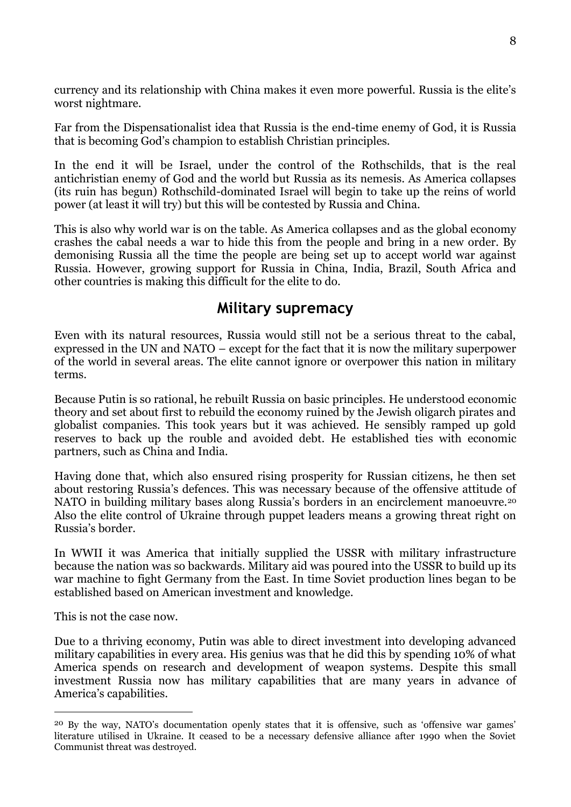currency and its relationship with China makes it even more powerful. Russia is the elite's worst nightmare.

Far from the Dispensationalist idea that Russia is the end-time enemy of God, it is Russia that is becoming God's champion to establish Christian principles.

In the end it will be Israel, under the control of the Rothschilds, that is the real antichristian enemy of God and the world but Russia as its nemesis. As America collapses (its ruin has begun) Rothschild-dominated Israel will begin to take up the reins of world power (at least it will try) but this will be contested by Russia and China.

This is also why world war is on the table. As America collapses and as the global economy crashes the cabal needs a war to hide this from the people and bring in a new order. By demonising Russia all the time the people are being set up to accept world war against Russia. However, growing support for Russia in China, India, Brazil, South Africa and other countries is making this difficult for the elite to do.

### **Military supremacy**

Even with its natural resources, Russia would still not be a serious threat to the cabal, expressed in the UN and NATO – except for the fact that it is now the military superpower of the world in several areas. The elite cannot ignore or overpower this nation in military terms.

Because Putin is so rational, he rebuilt Russia on basic principles. He understood economic theory and set about first to rebuild the economy ruined by the Jewish oligarch pirates and globalist companies. This took years but it was achieved. He sensibly ramped up gold reserves to back up the rouble and avoided debt. He established ties with economic partners, such as China and India.

Having done that, which also ensured rising prosperity for Russian citizens, he then set about restoring Russia's defences. This was necessary because of the offensive attitude of NATO in building military bases along Russia's borders in an encirclement manoeuvre.<sup>20</sup> Also the elite control of Ukraine through puppet leaders means a growing threat right on Russia's border.

In WWII it was America that initially supplied the USSR with military infrastructure because the nation was so backwards. Military aid was poured into the USSR to build up its war machine to fight Germany from the East. In time Soviet production lines began to be established based on American investment and knowledge.

This is not the case now.

<u>.</u>

Due to a thriving economy, Putin was able to direct investment into developing advanced military capabilities in every area. His genius was that he did this by spending 10% of what America spends on research and development of weapon systems. Despite this small investment Russia now has military capabilities that are many years in advance of America's capabilities.

<sup>20</sup> By the way, NATO's documentation openly states that it is offensive, such as 'offensive war games' literature utilised in Ukraine. It ceased to be a necessary defensive alliance after 1990 when the Soviet Communist threat was destroyed.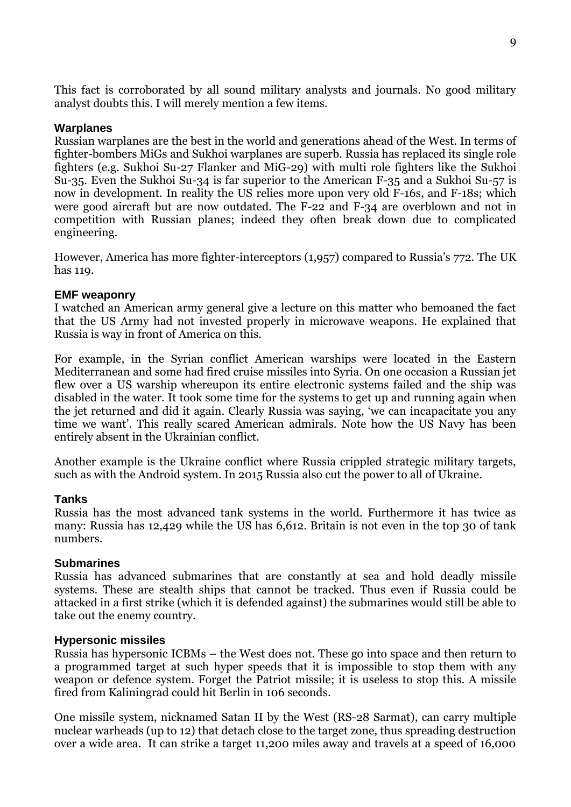This fact is corroborated by all sound military analysts and journals. No good military analyst doubts this. I will merely mention a few items.

#### **Warplanes**

Russian warplanes are the best in the world and generations ahead of the West. In terms of fighter-bombers MiGs and Sukhoi warplanes are superb. Russia has replaced its single role fighters (e.g. Sukhoi Su-27 Flanker and MiG-29) with multi role fighters like the Sukhoi Su-35. Even the Sukhoi Su-34 is far superior to the American F-35 and a Sukhoi Su-57 is now in development. In reality the US relies more upon very old F-16s, and F-18s; which were good aircraft but are now outdated. The F-22 and F-34 are overblown and not in competition with Russian planes; indeed they often break down due to complicated engineering.

However, America has more fighter-interceptors (1,957) compared to Russia's 772. The UK has 119.

#### **EMF weaponry**

I watched an American army general give a lecture on this matter who bemoaned the fact that the US Army had not invested properly in microwave weapons. He explained that Russia is way in front of America on this.

For example, in the Syrian conflict American warships were located in the Eastern Mediterranean and some had fired cruise missiles into Syria. On one occasion a Russian jet flew over a US warship whereupon its entire electronic systems failed and the ship was disabled in the water. It took some time for the systems to get up and running again when the jet returned and did it again. Clearly Russia was saying, 'we can incapacitate you any time we want'. This really scared American admirals. Note how the US Navy has been entirely absent in the Ukrainian conflict.

Another example is the Ukraine conflict where Russia crippled strategic military targets, such as with the Android system. In 2015 Russia also cut the power to all of Ukraine.

#### **Tanks**

Russia has the most advanced tank systems in the world. Furthermore it has twice as many: Russia has 12,429 while the US has 6,612. Britain is not even in the top 30 of tank numbers.

#### **Submarines**

Russia has advanced submarines that are constantly at sea and hold deadly missile systems. These are stealth ships that cannot be tracked. Thus even if Russia could be attacked in a first strike (which it is defended against) the submarines would still be able to take out the enemy country.

#### **Hypersonic missiles**

Russia has hypersonic ICBMs – the West does not. These go into space and then return to a programmed target at such hyper speeds that it is impossible to stop them with any weapon or defence system. Forget the Patriot missile; it is useless to stop this. A missile fired from Kaliningrad could hit Berlin in 106 seconds.

One missile system, nicknamed Satan II by the West (RS-28 Sarmat), can carry multiple nuclear warheads (up to 12) that detach close to the target zone, thus spreading destruction over a wide area. It can strike a target 11,200 miles away and travels at a speed of 16,000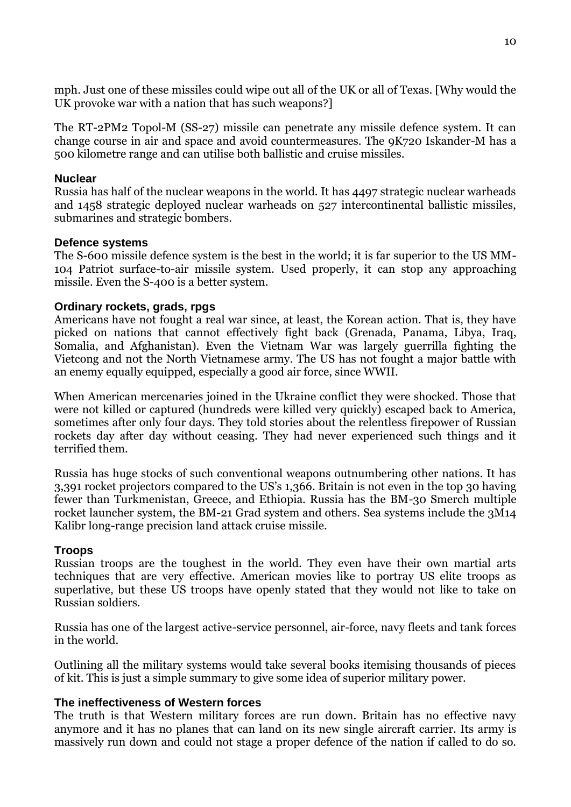mph. Just one of these missiles could wipe out all of the UK or all of Texas. [Why would the UK provoke war with a nation that has such weapons?]

The RT-2PM2 Topol-M (SS-27) missile can penetrate any missile defence system. It can change course in air and space and avoid countermeasures. The 9K720 Iskander-M has a 500 kilometre range and can utilise both ballistic and cruise missiles.

#### **Nuclear**

Russia has half of the nuclear weapons in the world. It has 4497 strategic nuclear warheads and 1458 strategic deployed nuclear warheads on 527 intercontinental ballistic missiles, submarines and strategic bombers.

#### **Defence systems**

The S-600 missile defence system is the best in the world; it is far superior to the US MM-104 Patriot surface-to-air missile system. Used properly, it can stop any approaching missile. Even the S-400 is a better system.

#### **Ordinary rockets, grads, rpgs**

Americans have not fought a real war since, at least, the Korean action. That is, they have picked on nations that cannot effectively fight back (Grenada, Panama, Libya, Iraq, Somalia, and Afghanistan). Even the Vietnam War was largely guerrilla fighting the Vietcong and not the North Vietnamese army. The US has not fought a major battle with an enemy equally equipped, especially a good air force, since WWII.

When American mercenaries joined in the Ukraine conflict they were shocked. Those that were not killed or captured (hundreds were killed very quickly) escaped back to America, sometimes after only four days. They told stories about the relentless firepower of Russian rockets day after day without ceasing. They had never experienced such things and it terrified them.

Russia has huge stocks of such conventional weapons outnumbering other nations. It has 3,391 rocket projectors compared to the US's 1,366. Britain is not even in the top 30 having fewer than Turkmenistan, Greece, and Ethiopia. Russia has the BM-30 Smerch multiple rocket launcher system, the BM-21 Grad system and others. Sea systems include the 3M14 Kalibr long-range precision land attack cruise missile.

#### **Troops**

Russian troops are the toughest in the world. They even have their own martial arts techniques that are very effective. American movies like to portray US elite troops as superlative, but these US troops have openly stated that they would not like to take on Russian soldiers.

Russia has one of the largest active-service personnel, air-force, navy fleets and tank forces in the world.

Outlining all the military systems would take several books itemising thousands of pieces of kit. This is just a simple summary to give some idea of superior military power.

#### **The ineffectiveness of Western forces**

The truth is that Western military forces are run down. Britain has no effective navy anymore and it has no planes that can land on its new single aircraft carrier. Its army is massively run down and could not stage a proper defence of the nation if called to do so.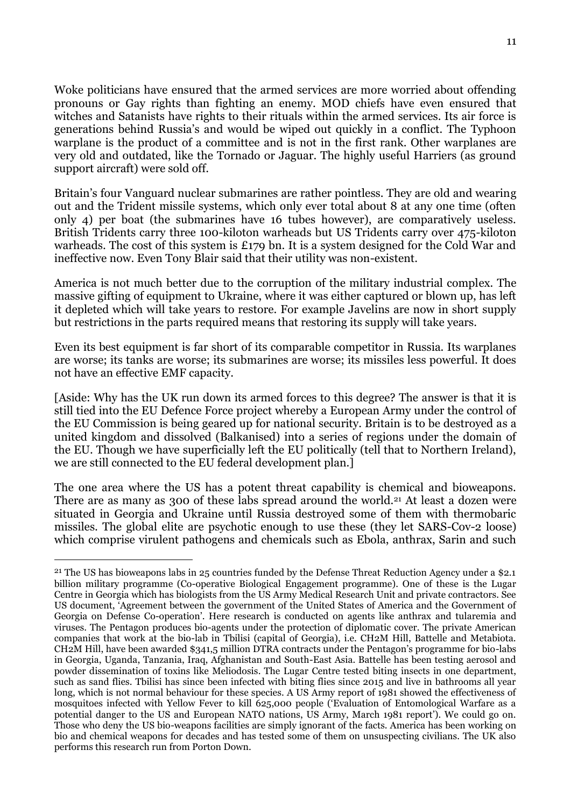Woke politicians have ensured that the armed services are more worried about offending pronouns or Gay rights than fighting an enemy. MOD chiefs have even ensured that witches and Satanists have rights to their rituals within the armed services. Its air force is generations behind Russia's and would be wiped out quickly in a conflict. The Typhoon warplane is the product of a committee and is not in the first rank. Other warplanes are very old and outdated, like the Tornado or Jaguar. The highly useful Harriers (as ground support aircraft) were sold off.

Britain's four Vanguard nuclear submarines are rather pointless. They are old and wearing out and the Trident missile systems, which only ever total about 8 at any one time (often only 4) per boat (the submarines have 16 tubes however), are comparatively useless. British Tridents carry three 100-kiloton warheads but US Tridents carry over 475-kiloton warheads. The cost of this system is £179 bn. It is a system designed for the Cold War and ineffective now. Even Tony Blair said that their utility was non-existent.

America is not much better due to the corruption of the military industrial complex. The massive gifting of equipment to Ukraine, where it was either captured or blown up, has left it depleted which will take years to restore. For example Javelins are now in short supply but restrictions in the parts required means that restoring its supply will take years.

Even its best equipment is far short of its comparable competitor in Russia. Its warplanes are worse; its tanks are worse; its submarines are worse; its missiles less powerful. It does not have an effective EMF capacity.

[Aside: Why has the UK run down its armed forces to this degree? The answer is that it is still tied into the EU Defence Force project whereby a European Army under the control of the EU Commission is being geared up for national security. Britain is to be destroyed as a united kingdom and dissolved (Balkanised) into a series of regions under the domain of the EU. Though we have superficially left the EU politically (tell that to Northern Ireland), we are still connected to the EU federal development plan.]

The one area where the US has a potent threat capability is chemical and bioweapons. There are as many as 300 of these labs spread around the world.<sup>21</sup> At least a dozen were situated in Georgia and Ukraine until Russia destroyed some of them with thermobaric missiles. The global elite are psychotic enough to use these (they let SARS-Cov-2 loose) which comprise virulent pathogens and chemicals such as Ebola, anthrax, Sarin and such

<u>.</u>

<sup>21</sup> The US has bioweapons labs in 25 countries funded by the Defense Threat Reduction Agency under a \$2.1 billion military programme (Co-operative Biological Engagement programme). One of these is the Lugar Centre in Georgia which has biologists from the US Army Medical Research Unit and private contractors. See US document, 'Agreement between the government of the United States of America and the Government of Georgia on Defense Co-operation'. Here research is conducted on agents like anthrax and tularemia and viruses. The Pentagon produces bio-agents under the protection of diplomatic cover. The private American companies that work at the bio-lab in Tbilisi (capital of Georgia), i.e. CH2M Hill, Battelle and Metabiota. CH2M Hill, have been awarded \$341,5 million DTRA contracts under the Pentagon's programme for bio-labs in Georgia, Uganda, Tanzania, Iraq, Afghanistan and South-East Asia. Battelle has been testing aerosol and powder dissemination of toxins like Meliodosis. The Lugar Centre tested biting insects in one department, such as sand flies. Tbilisi has since been infected with biting flies since 2015 and live in bathrooms all year long, which is not normal behaviour for these species. A US Army report of 1981 showed the effectiveness of mosquitoes infected with Yellow Fever to kill 625,000 people ('Evaluation of Entomological Warfare as a potential danger to the US and European NATO nations, US Army, March 1981 report'). We could go on. Those who deny the US bio-weapons facilities are simply ignorant of the facts. America has been working on bio and chemical weapons for decades and has tested some of them on unsuspecting civilians. The UK also performs this research run from Porton Down.